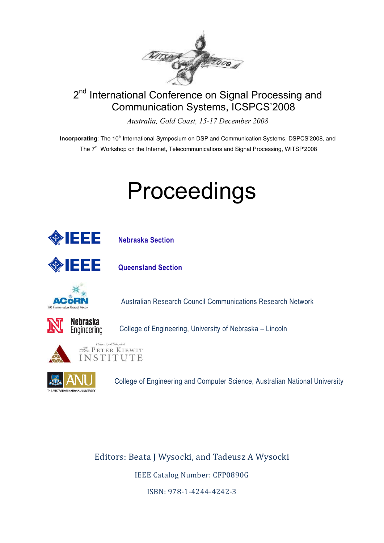

### 2<sup>nd</sup> International Conference on Signal Processing and Communication Systems, ICSPCS'2008

*Australia, Gold Coast, 15-17 December 2008* 

**Incorporating**: The 10<sup>th</sup> International Symposium on DSP and Communication Systems, DSPCS'2008, and The 7<sup>th</sup> Workshop on the Internet, Telecommunications and Signal Processing, WITSP'2008

# Proceedings



**Nebraska Section**



**Queensland Section**



Australian Research Council Communications Research Network



College of Engineering, University of Nebraska – Lincoln



The PETER KIEWIT INSTITUTE



College of Engineering and Computer Science, Australian National University

Editors: Beata J Wysocki, and Tadeusz A Wysocki IEEE Catalog Number: CFP0890G

ISBN: 978-1-4244-4242-3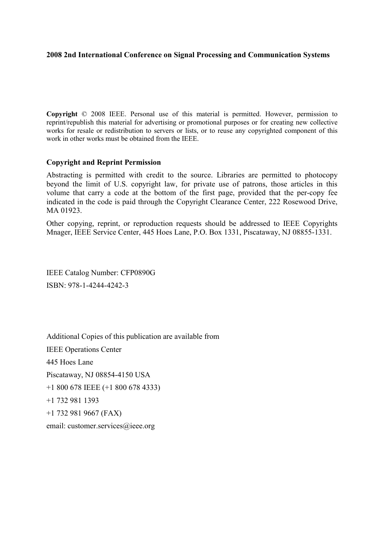#### **2008 2nd International Conference on Signal Processing and Communication Systems**

**Copyright** © 2008 IEEE. Personal use of this material is permitted. However, permission to reprint/republish this material for advertising or promotional purposes or for creating new collective works for resale or redistribution to servers or lists, or to reuse any copyrighted component of this work in other works must be obtained from the IEEE.

#### **Copyright and Reprint Permission**

Abstracting is permitted with credit to the source. Libraries are permitted to photocopy beyond the limit of U.S. copyright law, for private use of patrons, those articles in this volume that carry a code at the bottom of the first page, provided that the per-copy fee indicated in the code is paid through the Copyright Clearance Center, 222 Rosewood Drive, MA 01923.

Other copying, reprint, or reproduction requests should be addressed to IEEE Copyrights Mnager, IEEE Service Center, 445 Hoes Lane, P.O. Box 1331, Piscataway, NJ 08855-1331.

IEEE Catalog Number: CFP0890G ISBN: 978-1-4244-4242-3

Additional Copies of this publication are available from IEEE Operations Center 445 Hoes Lane Piscataway, NJ 08854-4150 USA +1 800 678 IEEE (+1 800 678 4333) +1 732 981 1393 +1 732 981 9667 (FAX) email: customer.services@ieee.org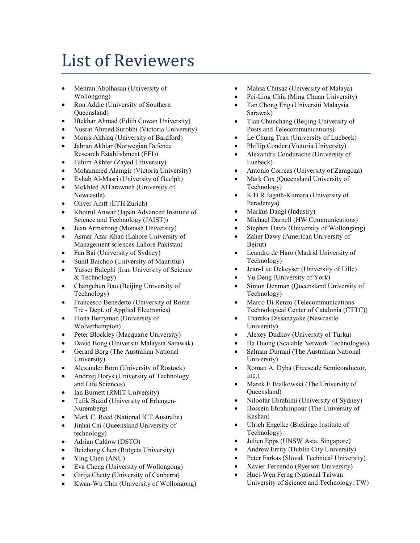# List of Reviewers

- Mehran Abolhasan (University of Wollongong)
- Ron Addie (University of Southern Queensland)
- Iftekhar Ahmad (Edith Cowan University)
- Nusrat Ahmed Surobhi (Victoria University)
- Monis Akhlaq (University of Bardford)
- Jabran Akhtar (Norwegian Defence Research Establishment (FFI))
- Fahim Akhter (Zayed University)
- Mohammed Alamgir (Victoria University)
- Eyhab Al-Masri (University of Guelph)
- Mokhled AlTarawneh (University of Newcastle)
- Oliver Amft (ETH Zurich)
- Khoirul Anwar (Japan Advanced Institute of Science and Technology (JAIST))
- Jean Armstrong (Monash University)
- Asmar Azar Khan (Lahore University of Management sciences Lahore Pakistan)
- Fan Bai (University of Sydney)
- Sunil Baichoo (University of Mauritius)
- Yasser Baleghi (Iran University of Science & Technology)
- Changchun Bao (Beijing University of Technology)
- Francesco Benedetto (University of Roma Tre - Dept. of Applied Electronics)
- Fiona Berryman (University of Wolverhampton)
- Peter Blockley (Macquarie University)
- David Bong (Universiti Malaysia Sarawak)
- Gerard Borg (The Australian National University)
- Alexander Born (University of Rostock)
- Andrzej Borys (University of Technology and Life Sciences)
- Ian Burnett (RMIT University)
- Tufik Buzid (University of Erlangen-Nuremberg)
- Mark C. Reed (National ICT Australia)
- Jinhai Cai (Queensland University of technology)
- Adrian Caldow (DSTO)
- Beizhong Chen (Rutgets University)
- Ying Chen (ANU)
- Eva Cheng (University of Wollongong)
- Girija Chetty (University of Canberra)
- Kwan-Wu Chin (University of Wollongong)
- Mahsa Chitsaz (University of Malaya)
- Pei-Ling Chiu (Ming Chuan University)
- Tan Chong Eng (Universiti Malaysia Sarawak)
- Tian Chunchang (Beijing University of Posts and Telecommunications)
- Le Chung Tran (University of Luebeck)
- Phillip Conder (Victoria University)
- Alexandru Condurache (University of Luebeck)
- Antonio Correas (University of Zaragoza)
- Mark Cox (Queensland University of Technology)
- K D R Jagath-Kumara (University of Peradeniya)
- Markus Dangl (Industry)
- Michael Darnell (HW Communications)
- Stephen Davis (University of Wollongong)
- Zaher Dawy (American University of Beirut)
- Leandro de Haro (Madrid University of Technology)
- Jean-Luc Dekeyser (University of Lille)
- Yu Deng (University of York)
- Simon Denman (Queensland University of Technology)
- Marco Di Renzo (Telecommunications Technological Center of Catalonia (CTTC))
- Tharaka Dissanayake (Newcastle University)
- Alexey Dudkov (University of Turku)
- Ha Duong (Scalable Network Technologies)
- Salman Durrani (The Australian National University)
- Roman A. Dyba (Freescale Semiconductor, Inc.)
- Marek E Bialkowski (The University of Queensland)
- Niloofar Ebrahimi (University of Sydney)
- Hossein Ebrahimpour (The University of Kashan)
- Ulrich Engelke (Blekinge Institute of Technology)
- Julien Epps (UNSW Asia, Singapore)
- Andrew Errity (Dublin City University)
- Peter Farkas (Slovak Technical University)
- Xavier Fernando (Ryerson University)
- Huei-Wen Ferng (National Taiwan University of Science and Technology, TW)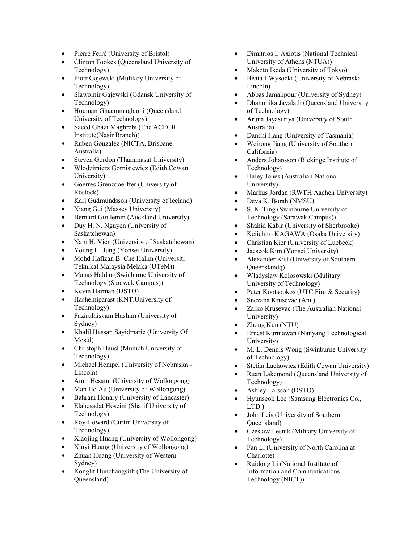- Pierre Ferré (University of Bristol)
- Clinton Fookes (Queensland University of Technology)
- Piotr Gajewski (Mulitary University of Technology)
- Slawomir Gajewski (Gdansk University of Technology)
- Houman Ghaemmaghami (Queensland University of Technology)
- Saeed Ghazi Maghrebi (The ACECR Institute(Nasir Branch))
- Ruben Gonzalez (NICTA, Brisbane Australia)
- Steven Gordon (Thammasat University)
- Wlodzimierz Gornisiewicz (Edith Cowan University)
- Goerres Grenzdoerffer (University of Rostock)
- Karl Gudmundsson (University of Iceland)
- Xiang Gui (Massey University)
- Bernard Guillemin (Auckland University)
- Duy H. N. Nguyen (University of Saskatchewan)
- Nam H. Vien (University of Saskatchewan)
- Young H. Jung (Yonsei University)
- Mohd Hafizan B. Che Halim (Universiti Teknikal Malaysia Melaka (UTeM))
- Manas Haldar (Swinburne University of Technology (Sarawak Campus))
- Kevin Harman (DSTO)
- Hashemiparast (KNT.University of Technology)
- Fazirulhisyam Hashim (University of Sydney)
- Khalil Hassan Sayidmarie (University Of Mosul)
- Christoph Hausl (Munich University of Technology)
- Michael Hempel (University of Nebraska Lincoln)
- Amir Hesami (University of Wollongong)
- Man Ho Au (University of Wollongong)
- Bahram Honary (University of Lancaster)
- Elahesadat Hoseini (Sharif University of Technology)
- Roy Howard (Curtin University of Technology)
- Xiaojing Huang (University of Wollongong)
- Xinyi Huang (University of Wollongong)
- Zhuan Huang (University of Western Sydney)
- Konglit Hunchangsith (The University of Queensland)
- Dimitrios I. Axiotis (National Technical University of Athens (NTUA))
- Makoto Ikeda (University of Tokyo)
- Beata J Wysocki (University of Nebraska-Lincoln)
- Abbas Jamalipour (University of Sydney)
- Dhammika Jayalath (Queensland University of Technology)
- Aruna Jayasuriya (University of South Australia)
- Danchi Jiang (University of Tasmania)
- Weirong Jiang (University of Southern California)
- Anders Johansson (Blekinge Institute of Technology)
- Haley Jones (Australian National University)
- Markus Jordan (RWTH Aachen University)
- Deva K. Borah (NMSU)
- S. K. Ting (Swinburne University of Technology (Sarawak Campus))
- Shahid Kabir (University of Sherbrooke)
- Keiichiro KAGAWA (Osaka University)
- Christian Kier (University of Luebeck)
- Jaeseok Kim (Yonsei University)
- Alexander Kist (University of Southern Queenslandq)
- Wladyslaw Kolosowski (Mulitary University of Technology)
- Peter Kootsookos (UTC Fire & Security)
- Snezana Krusevac (Anu)
- Zarko Krusevac (The Australian National University)
- Zhong Kun (NTU)
- Ernest Kurniawan (Nanyang Technological University)
- M. L. Dennis Wong (Swinburne University of Technology)
- Stefan Lachowicz (Edith Cowan University)
- Ruan Lakemond (Queensland University of Technology)
- Ashley Larsson (DSTO)
- Hyunseok Lee (Samsung Electronics Co., LTD.)
- John Leis (University of Southern Queensland)
- Czeslaw Lesnik (Military University of Technology)
- Fan Li (University of North Carolina at Charlotte)
- Ruidong Li (National Institute of Information and Communications Technology (NICT))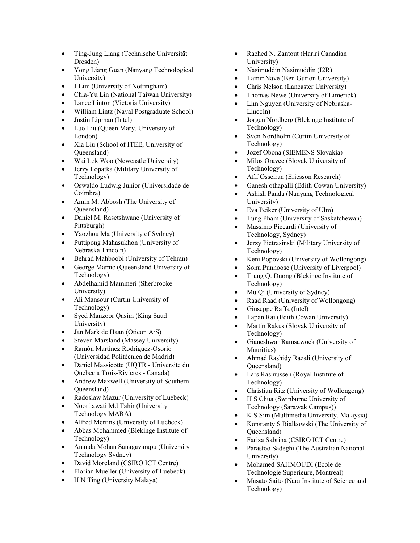- Ting-Jung Liang (Technische Universität Dresden)
- Yong Liang Guan (Nanyang Technological University)
- J Lim (University of Nottingham)
- Chia-Yu Lin (National Taiwan University)
- Lance Linton (Victoria University)
- William Lintz (Naval Postgraduate School)
- Justin Lipman (Intel)
- Luo Liu (Queen Mary, University of London)
- Xia Liu (School of ITEE, University of Queensland)
- Wai Lok Woo (Newcastle University)
- Jerzy Lopatka (Military University of Technology)
- Oswaldo Ludwig Junior (Universidade de Coimbra)
- Amin M. Abbosh (The University of Queensland)
- Daniel M. Rasetshwane (University of Pittsburgh)
- Yaozhou Ma (University of Sydney)
- Puttipong Mahasukhon (University of Nebraska-Lincoln)
- Behrad Mahboobi (University of Tehran)
- George Mamic (Queensland University of Technology)
- Abdelhamid Mammeri (Sherbrooke University)
- Ali Mansour (Curtin University of Technology)
- Syed Manzoor Qasim (King Saud University)
- Jan Mark de Haan (Oticon A/S)
- Steven Marsland (Massey University)
- Ramón Martínez Rodríguez-Osorio (Universidad Politécnica de Madrid)
- Daniel Massicotte (UQTR Universite du Quebec a Trois-Rivieres - Canada)
- Andrew Maxwell (University of Southern Queensland)
- Radoslaw Mazur (University of Luebeck)
- Nooritawati Md Tahir (University Technology MARA)
- Alfred Mertins (University of Luebeck)
- Abbas Mohammed (Blekinge Institute of Technology)
- Ananda Mohan Sanagavarapu (University Technology Sydney)
- David Moreland (CSIRO ICT Centre)
- Florian Mueller (University of Luebeck)
- H N Ting (University Malaya)
- Rached N. Zantout (Hariri Canadian University)
- Nasimuddin Nasimuddin (I2R)
- Tamir Nave (Ben Gurion University)
- Chris Nelson (Lancaster University)
- Thomas Newe (University of Limerick)
- Lim Nguyen (University of Nebraska-Lincoln)
- Jorgen Nordberg (Blekinge Institute of Technology)
- Sven Nordholm (Curtin University of Technology)
- Jozef Obona (SIEMENS Slovakia)
- Milos Oravec (Slovak University of Technology)
- Afif Osseiran (Ericsson Research)
- Ganesh othapalli (Edith Cowan University)
- Ashish Panda (Nanyang Technological University)
- Eva Peiker (University of Ulm)
- Tung Pham (University of Saskatchewan)
- Massimo Piccardi (University of Technology, Sydney)
- Jerzy Pietrasinski (Military University of Technology)
- Keni Popovski (University of Wollongong)
- Sonu Punnoose (University of Liverpool)
- Trung Q. Duong (Blekinge Institute of Technology)
- Mu Qi (University of Sydney)
- Raad Raad (University of Wollongong)
- Giuseppe Raffa (Intel)
- Tapan Rai (Edith Cowan University)
- Martin Rakus (Slovak University of Technology)
- Gianeshwar Ramsawock (University of Mauritius)
- Ahmad Rashidy Razali (University of Queensland)
- Lars Rasmussen (Royal Institute of Technology)
- Christian Ritz (University of Wollongong)
- H S Chua (Swinburne University of Technology (Sarawak Campus))
- K S Sim (Multimedia University, Malaysia)
- Konstanty S Bialkowski (The University of Queensland)
- Fariza Sabrina (CSIRO ICT Centre)
- Parastoo Sadeghi (The Australian National University)
- Mohamed SAHMOUDI (Ecole de Technologie Superieure, Montreal)
- Masato Saito (Nara Institute of Science and Technology)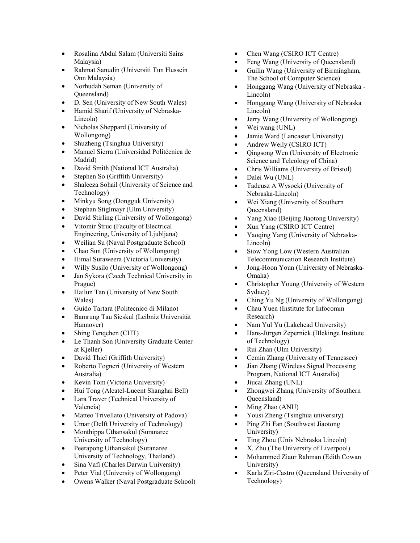- Rosalina Abdul Salam (Universiti Sains Malaysia)
- Rahmat Sanudin (Universiti Tun Hussein Onn Malaysia)
- Norhudah Seman (University of Queensland)
- D. Sen (University of New South Wales)
- Hamid Sharif (University of Nebraska-Lincoln)
- Nicholas Sheppard (University of Wollongong)
- Shuzheng (Tsinghua University)
- Manuel Sierra (Universidad Politécnica de Madrid)
- David Smith (National ICT Australia)
- Stephen So (Griffith University)
- Shaleeza Sohail (University of Science and Technology)
- Minkyu Song (Dongguk University)
- Stephan Stiglmayr (Ulm University)
- David Stirling (University of Wollongong)
- Vitomir Štruc (Faculty of Electrical Engineering, University of Ljubljana)
- Weilian Su (Naval Postgraduate School)
- Chao Sun (University of Wollongong)
- Himal Suraweera (Victoria University)
- Willy Susilo (University of Wollongong)
- Jan Sykora (Czech Technical University in Prague)
- Hailun Tan (University of New South Wales)
- Guido Tartara (Politecnico di Milano)
- Bamrung Tau Sieskul (Leibniz Universität Hannover)
- Shing Tengchen (CHT)
- Le Thanh Son (University Graduate Center at Kjeller)
- David Thiel (Griffith University)
- Roberto Togneri (University of Western Australia)
- Kevin Tom (Victoria University)
- Hui Tong (Alcatel-Lucent Shanghai Bell)
- Lara Traver (Technical University of Valencia)
- Matteo Trivellato (University of Padova)
- Umar (Delft University of Technology)
- Monthippa Uthansakul (Suranaree University of Technology)
- Peerapong Uthansakul (Suranaree University of Technology, Thailand)
- Sina Vafi (Charles Darwin University)
- Peter Vial (University of Wollongong)
- Owens Walker (Naval Postgraduate School)
- Chen Wang (CSIRO ICT Centre)
- Feng Wang (University of Queensland)
- Guilin Wang (University of Birmingham, The School of Computer Science)
- Honggang Wang (University of Nebraska Lincoln)
- Honggang Wang (University of Nebraska Lincoln)
- Jerry Wang (University of Wollongong)
- Wei wang (UNL)
- Jamie Ward (Lancaster University)
- Andrew Weily (CSIRO ICT)
- Qingsong Wen (University of Electronic Science and Teleology of China)
- Chris Williams (University of Bristol)
- Dalei Wu (UNL)
- Tadeusz A Wysocki (University of Nebraska-Lincoln)
- Wei Xiang (University of Southern Queensland)
- Yang Xiao (Beijing Jiaotong University)
- Xun Yang (CSIRO ICT Centre)
- Yaoqing Yang (University of Nebraska-Lincoln)
- Siow Yong Low (Western Australian Telecommunication Research Institute)
- Jong-Hoon Youn (University of Nebraska-Omaha)
- Christopher Young (University of Western Sydney)
- Ching Yu Ng (University of Wollongong)
- Chau Yuen (Institute for Infocomm Research)
- Nam Yul Yu (Lakehead University)
- Hans-Jürgen Zepernick (Blekinge Institute of Technology)
- Rui Zhan (Ulm University)
- Cemin Zhang (University of Tennessee)
- Jian Zhang (Wireless Signal Processing Program, National ICT Australia)
- Jiucai Zhang (UNL)
- Zhongwei Zhang (University of Southern Queensland)
- Ming Zhao (ANU)
- Yousi Zheng (Tsinghua university)
- Ping Zhi Fan (Southwest Jiaotong) University)
- Ting Zhou (Univ Nebraska Lincoln)
- X. Zhu (The University of Liverpool)
- Mohammed Ziaur Rahman (Edith Cowan University)
- Karla Ziri-Castro (Queensland University of Technology)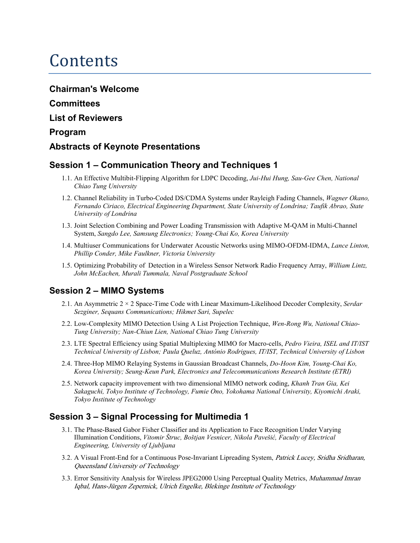# Contents

**Chairman's Welcome Committees List of Reviewers Program Abstracts of Keynote Presentations** 

#### **Session 1 – Communication Theory and Techniques 1**

- 1.1. An Effective Multibit-Flipping Algorithm for LDPC Decoding, *Jui-Hui Hung, Sau-Gee Chen, National Chiao Tung University*
- 1.2. Channel Reliability in Turbo-Coded DS/CDMA Systems under Rayleigh Fading Channels, *Wagner Okano, Fernando Ciriaco, Electrical Engineering Department, State University of Londrina; Taufik Abrao, State University of Londrina*
- 1.3. Joint Selection Combining and Power Loading Transmission with Adaptive M-QAM in Multi-Channel System, *Sangdo Lee, Samsung Electronics; Young-Chai Ko, Korea University*
- 1.4. Multiuser Communications for Underwater Acoustic Networks using MIMO-OFDM-IDMA, *Lance Linton, Phillip Conder, Mike Faulkner, Victoria University*
- 1.5. Optimizing Probability of Detection in a Wireless Sensor Network Radio Frequency Array, *William Lintz, John McEachen, Murali Tummala, Naval Postgraduate School*

### **Session 2 – MIMO Systems**

- 2.1. An Asymmetric 2 × 2 Space-Time Code with Linear Maximum-Likelihood Decoder Complexity, *Serdar Sezginer, Sequans Communications; Hikmet Sari, Supelec*
- 2.2. Low-Complexity MIMO Detection Using A List Projection Technique, *Wen-Rong Wu, National Chiao-Tung University; Nan-Chiun Lien, National Chiao Tung University*
- 2.3. LTE Spectral Efficiency using Spatial Multiplexing MIMO for Macro-cells, *Pedro Vieira, ISEL and IT/IST Technical University of Lisbon; Paula Queluz, António Rodrigues, IT/IST, Technical University of Lisbon*
- 2.4. Three-Hop MIMO Relaying Systems in Gaussian Broadcast Channels, *Do-Hoon Kim, Young-Chai Ko, Korea University; Seung-Keun Park, Electronics and Telecommunications Research Institute (ETRI)*
- 2.5. Network capacity improvement with two dimensional MIMO network coding, *Khanh Tran Gia, Kei Sakaguchi, Tokyo Institute of Technology, Fumie Ono, Yokohama National University, Kiyomichi Araki, Tokyo Institute of Technology*

#### **Session 3 – Signal Processing for Multimedia 1**

- 3.1. The Phase-Based Gabor Fisher Classifier and its Application to Face Recognition Under Varying Illumination Conditions, *Vitomir Štruc, Boštjan Vesnicer, Nikola Pavešić, Faculty of Electrical Engineering, University of Ljubljana*
- 3.2. A Visual Front-End for a Continuous Pose-Invariant Lipreading System, Patrick Lucey, Sridha Sridharan, Queensland University of Technology
- 3.3. Error Sensitivity Analysis for Wireless JPEG2000 Using Perceptual Quality Metrics, Muhammad Imran Iqbal, Hans-Jürgen Zepernick, Ulrich Engelke, Blekinge Institute of Technology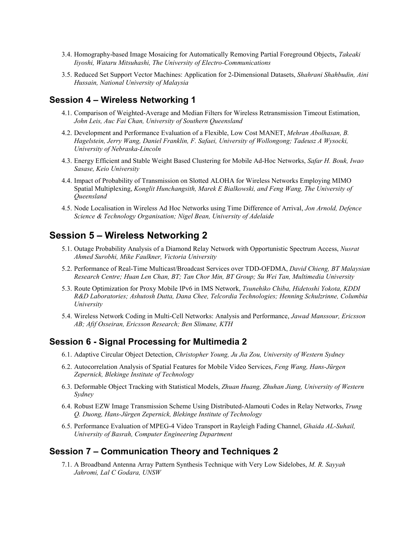- 3.4. Homography-based Image Mosaicing for Automatically Removing Partial Foreground Objects, *Takeaki Iiyoshi, Wataru Mitsuhashi, The University of Electro-Communications*
- 3.5. Reduced Set Support Vector Machines: Application for 2-Dimensional Datasets, *Shahrani Shahbudin, Aini Hussain, National University of Malaysia*

#### **Session 4 – Wireless Networking 1**

- 4.1. Comparison of Weighted-Average and Median Filters for Wireless Retransmission Timeout Estimation, *John Leis, Auc Fai Chan, University of Southern Queensland*
- 4.2. Development and Performance Evaluation of a Flexible, Low Cost MANET, *Mehran Abolhasan, B. Hagelstein, Jerry Wang, Daniel Franklin, F. Safaei, University of Wollongong; Tadeusz A Wysocki, University of Nebraska-Lincoln*
- 4.3. Energy Efficient and Stable Weight Based Clustering for Mobile Ad-Hoc Networks, *Safar H. Bouk, Iwao Sasase, Keio University*
- 4.4. Impact of Probability of Transmission on Slotted ALOHA for Wireless Networks Employing MIMO Spatial Multiplexing, *Konglit Hunchangsith, Marek E Bialkowski, and Feng Wang, The University of Queensland*
- 4.5. Node Localisation in Wireless Ad Hoc Networks using Time Difference of Arrival, *Jon Arnold, Defence Science & Technology Organisation; Nigel Bean, University of Adelaide*

#### **Session 5 – Wireless Networking 2**

- 5.1. Outage Probability Analysis of a Diamond Relay Network with Opportunistic Spectrum Access, *Nusrat Ahmed Surobhi, Mike Faulkner, Victoria University*
- 5.2. Performance of Real-Time Multicast/Broadcast Services over TDD-OFDMA, *David Chieng, BT Malaysian Research Centre; Huan Len Chan, BT; Tan Chor Min, BT Group; Su Wei Tan, Multimedia University*
- 5.3. Route Optimization for Proxy Mobile IPv6 in IMS Network, *Tsunehiko Chiba, Hidetoshi Yokota, KDDI R&D Laboratories; Ashutosh Dutta, Dana Chee, Telcordia Technologies; Henning Schulzrinne, Columbia University*
- 5.4. Wireless Network Coding in Multi-Cell Networks: Analysis and Performance, *Jawad Manssour, Ericsson AB; Afif Osseiran, Ericsson Research; Ben Slimane, KTH*

#### **Session 6 - Signal Processing for Multimedia 2**

- 6.1. Adaptive Circular Object Detection, *Christopher Young, Ju Jia Zou, University of Western Sydney*
- 6.2. Autocorrelation Analysis of Spatial Features for Mobile Video Services, *Feng Wang, Hans-Jürgen Zepernick, Blekinge Institute of Technology*
- 6.3. Deformable Object Tracking with Statistical Models, *Zhuan Huang, Zhuhan Jiang, University of Western Sydney*
- 6.4. Robust EZW Image Transmission Scheme Using Distributed-Alamouti Codes in Relay Networks, *Trung Q. Duong, Hans-Jürgen Zepernick, Blekinge Institute of Technology*
- 6.5. Performance Evaluation of MPEG-4 Video Transport in Rayleigh Fading Channel, *Ghaida AL-Suhail, University of Basrah, Computer Engineering Department*

#### **Session 7 – Communication Theory and Techniques 2**

7.1. A Broadband Antenna Array Pattern Synthesis Technique with Very Low Sidelobes, *M. R. Sayyah Jahromi, Lal C Godara, UNSW*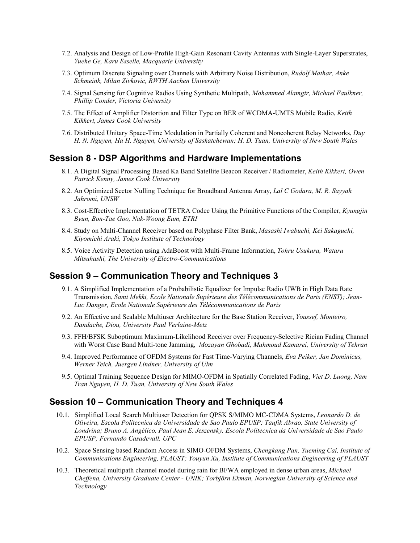- 7.2. Analysis and Design of Low-Profile High-Gain Resonant Cavity Antennas with Single-Layer Superstrates, *Yuehe Ge, Karu Esselle, Macquarie University*
- 7.3. Optimum Discrete Signaling over Channels with Arbitrary Noise Distribution, *Rudolf Mathar, Anke Schmeink, Milan Zivkovic, RWTH Aachen University*
- 7.4. Signal Sensing for Cognitive Radios Using Synthetic Multipath, *Mohammed Alamgir, Michael Faulkner, Phillip Conder, Victoria University*
- 7.5. The Effect of Amplifier Distortion and Filter Type on BER of WCDMA-UMTS Mobile Radio, *Keith Kikkert, James Cook University*
- 7.6. Distributed Unitary Space-Time Modulation in Partially Coherent and Noncoherent Relay Networks, *Duy H. N. Nguyen, Ha H. Nguyen, University of Saskatchewan; H. D. Tuan, University of New South Wales*

#### **Session 8 - DSP Algorithms and Hardware Implementations**

- 8.1. A Digital Signal Processing Based Ka Band Satellite Beacon Receiver / Radiometer, *Keith Kikkert, Owen Patrick Kenny, James Cook University*
- 8.2. An Optimized Sector Nulling Technique for Broadband Antenna Array, *Lal C Godara, M. R. Sayyah Jahromi, UNSW*
- 8.3. Cost-Effective Implementation of TETRA Codec Using the Primitive Functions of the Compiler, *Kyungjin Byun, Bon-Tae Goo, Nak-Woong Eum, ETRI*
- 8.4. Study on Multi-Channel Receiver based on Polyphase Filter Bank, *Masashi Iwabuchi, Kei Sakaguchi, Kiyomichi Araki, Tokyo Institute of Technology*
- 8.5. Voice Activity Detection using AdaBoost with Multi-Frame Information, *Tohru Usukura, Wataru Mitsuhashi, The University of Electro-Communications*

#### **Session 9 – Communication Theory and Techniques 3**

- 9.1. A Simplified Implementation of a Probabilistic Equalizer for Impulse Radio UWB in High Data Rate Transmission, *Sami Mekki, Ecole Nationale Supérieure des Télécommunications de Paris (ENST); Jean-Luc Danger, Ecole Nationale Supérieure des Télécommunications de Paris*
- 9.2. An Effective and Scalable Multiuser Architecture for the Base Station Receiver, *Youssef, Monteiro, Dandache, Diou, University Paul Verlaine-Metz*
- 9.3. FFH/BFSK Suboptimum Maximum-Likelihood Receiver over Frequency-Selective Rician Fading Channel with Worst Case Band Multi-tone Jamming, *Mozayan Ghobadi, Mahmoud Kamarei, University of Tehran*
- 9.4. Improved Performance of OFDM Systems for Fast Time-Varying Channels, *Eva Peiker, Jan Dominicus, Werner Teich, Juergen Lindner, University of Ulm*
- 9.5. Optimal Training Sequence Design for MIMO-OFDM in Spatially Correlated Fading, *Viet D. Luong, Nam Tran Nguyen, H. D. Tuan, University of New South Wales*

#### **Session 10 – Communication Theory and Techniques 4**

- 10.1. Simplified Local Search Multiuser Detection for QPSK S/MIMO MC-CDMA Systems, *Leonardo D. de Oliveira, Escola Politecnica da Universidade de Sao Paulo EPUSP; Taufik Abrao, State University of Londrina; Bruno A. Angélico, Paul Jean E. Jeszensky, Escola Politecnica da Universidade de Sao Paulo EPUSP; Fernando Casadevall, UPC*
- 10.2. Space Sensing based Random Access in SIMO-OFDM Systems, *Chengkang Pan, Yueming Cai, Institute of Communications Engineering, PLAUST; Youyun Xu, Institute of Communications Engineering of PLAUST*
- 10.3. Theoretical multipath channel model during rain for BFWA employed in dense urban areas, *Michael Cheffena, University Graduate Center - UNIK; Torbjörn Ekman, Norwegian University of Science and Technology*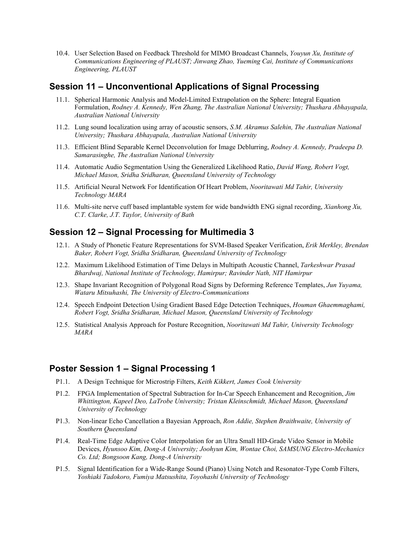10.4. User Selection Based on Feedback Threshold for MIMO Broadcast Channels, *Youyun Xu, Institute of Communications Engineering of PLAUST; Jinwang Zhao, Yueming Cai, Institute of Communications Engineering, PLAUST*

#### **Session 11 – Unconventional Applications of Signal Processing**

- 11.1. Spherical Harmonic Analysis and Model-Limited Extrapolation on the Sphere: Integral Equation Formulation, *Rodney A. Kennedy, Wen Zhang, The Australian National University; Thushara Abhayapala, Australian National University*
- 11.2. Lung sound localization using array of acoustic sensors, *S.M. Akramus Salehin, The Australian National University; Thushara Abhayapala, Australian National University*
- 11.3. Efficient Blind Separable Kernel Deconvolution for Image Deblurring, *Rodney A. Kennedy, Pradeepa D. Samarasinghe, The Australian National University*
- 11.4. Automatic Audio Segmentation Using the Generalized Likelihood Ratio, *David Wang, Robert Vogt, Michael Mason, Sridha Sridharan, Queensland University of Technology*
- 11.5. Artificial Neural Network For Identification Of Heart Problem, *Nooritawati Md Tahir, University Technology MARA*
- 11.6. Multi-site nerve cuff based implantable system for wide bandwidth ENG signal recording, *Xianhong Xu, C.T. Clarke, J.T. Taylor, University of Bath*

#### **Session 12 – Signal Processing for Multimedia 3**

- 12.1. A Study of Phonetic Feature Representations for SVM-Based Speaker Verification, *Erik Merkley, Brendan Baker, Robert Vogt, Sridha Sridharan, Queensland University of Technology*
- 12.2. Maximum Likelihood Estimation of Time Delays in Multipath Acoustic Channel, *Tarkeshwar Prasad Bhardwaj, National Institute of Technology, Hamirpur; Ravinder Nath, NIT Hamirpur*
- 12.3. Shape Invariant Recognition of Polygonal Road Signs by Deforming Reference Templates, *Jun Yuyama, Wataru Mitsuhashi, The University of Electro-Communications*
- 12.4. Speech Endpoint Detection Using Gradient Based Edge Detection Techniques, *Houman Ghaemmaghami, Robert Vogt, Sridha Sridharan, Michael Mason, Queensland University of Technology*
- 12.5. Statistical Analysis Approach for Posture Recognition, *Nooritawati Md Tahir, University Technology MARA*

#### **Poster Session 1 – Signal Processing 1**

- P1.1. A Design Technique for Microstrip Filters, *Keith Kikkert, James Cook University*
- P1.2. FPGA Implementation of Spectral Subtraction for In-Car Speech Enhancement and Recognition, *Jim Whittington, Kapeel Deo, LaTrobe University; Tristan Kleinschmidt, Michael Mason, Queensland University of Technology*
- P1.3. Non-linear Echo Cancellation a Bayesian Approach, *Ron Addie, Stephen Braithwaite, University of Southern Queensland*
- P1.4. Real-Time Edge Adaptive Color Interpolation for an Ultra Small HD-Grade Video Sensor in Mobile Devices, *Hyunsoo Kim, Dong-A University; Joohyun Kim, Wontae Choi, SAMSUNG Electro-Mechanics Co. Ltd; Bongsoon Kang, Dong-A University*
- P1.5. Signal Identification for a Wide-Range Sound (Piano) Using Notch and Resonator-Type Comb Filters, *Yoshiaki Tadokoro, Fumiya Matsushita, Toyohashi University of Technology*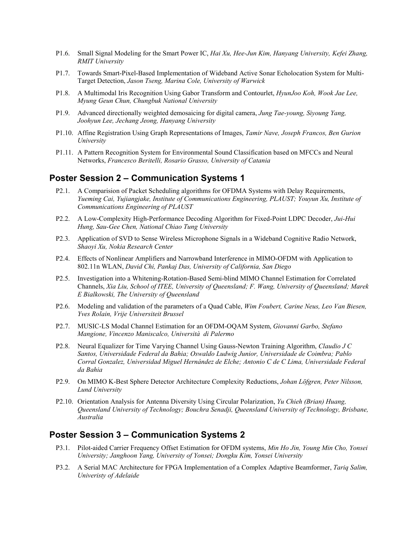- P1.6. Small Signal Modeling for the Smart Power IC, *Hai Xu, Hee-Jun Kim, Hanyang University, Kefei Zhang, RMIT University*
- P1.7. Towards Smart-Pixel-Based Implementation of Wideband Active Sonar Echolocation System for Multi-Target Detection, *Jason Tseng, Marina Cole, University of Warwick*
- P1.8. A Multimodal Iris Recognition Using Gabor Transform and Contourlet, *HyunJoo Koh, Wook Jae Lee, Myung Geun Chun, Chungbuk National University*
- P1.9. Advanced directionally weighted demosaicing for digital camera, *Jung Tae-young, Siyoung Yang, Joohyun Lee, Jechang Jeong, Hanyang University*
- P1.10. Affine Registration Using Graph Representations of Images, *Tamir Nave, Joseph Francos, Ben Gurion University*
- P1.11. A Pattern Recognition System for Environmental Sound Classification based on MFCCs and Neural Networks, *Francesco Beritelli, Rosario Grasso, University of Catania*

#### **Poster Session 2 – Communication Systems 1**

- P2.1. A Comparision of Packet Scheduling algorithms for OFDMA Systems with Delay Requirements, *Yueming Cai, Yujiangjake, Institute of Communications Engineering, PLAUST; Youyun Xu, Institute of Communications Engineering of PLAUST*
- P2.2. A Low-Complexity High-Performance Decoding Algorithm for Fixed-Point LDPC Decoder, *Jui-Hui Hung, Sau-Gee Chen, National Chiao Tung University*
- P2.3. Application of SVD to Sense Wireless Microphone Signals in a Wideband Cognitive Radio Network, *Shaoyi Xu, Nokia Research Center*
- P2.4. Effects of Nonlinear Amplifiers and Narrowband Interference in MIMO-OFDM with Application to 802.11n WLAN, *David Chi, Pankaj Das, University of California, San Diego*
- P2.5. Investigation into a Whitening-Rotation-Based Semi-blind MIMO Channel Estimation for Correlated Channels, *Xia Liu, School of ITEE, University of Queensland; F. Wang, University of Queensland; Marek E Bialkowski, The University of Queensland*
- P2.6. Modeling and validation of the parameters of a Quad Cable, *Wim Foubert, Carine Neus, Leo Van Biesen, Yves Rolain, Vrije Universiteit Brussel*
- P2.7. MUSIC-LS Modal Channel Estimation for an OFDM-OQAM System, *Giovanni Garbo, Stefano Mangione, Vincenzo Maniscalco, Università di Palermo*
- P2.8. Neural Equalizer for Time Varying Channel Using Gauss-Newton Training Algorithm, *Claudio J C Santos, Universidade Federal da Bahia; Oswaldo Ludwig Junior, Universidade de Coimbra; Pablo Corral Gonzalez, Universidad Miguel Hernández de Elche; Antonio C de C Lima, Universidade Federal da Bahia*
- P2.9. On MIMO K-Best Sphere Detector Architecture Complexity Reductions, *Johan Löfgren, Peter Nilsson, Lund University*
- P2.10. Orientation Analysis for Antenna Diversity Using Circular Polarization, *Yu Chieh (Brian) Huang, Queensland University of Technology; Bouchra Senadji, Queensland University of Technology, Brisbane, Australia*

#### **Poster Session 3 – Communication Systems 2**

- P3.1. Pilot-aided Carrier Frequency Offset Estimation for OFDM systems, *Min Ho Jin, Young Min Cho, Yonsei University; Janghoon Yang, University of Yonsei; Dongku Kim, Yonsei University*
- P3.2. A Serial MAC Architecture for FPGA Implementation of a Complex Adaptive Beamformer, *Tariq Salim, Univeristy of Adelaide*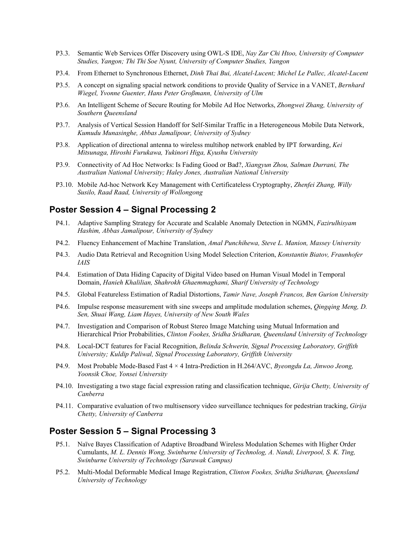- P3.3. Semantic Web Services Offer Discovery using OWL-S IDE, *Nay Zar Chi Htoo, University of Computer Studies, Yangon; Thi Thi Soe Nyunt, University of Computer Studies, Yangon*
- P3.4. From Ethernet to Synchronous Ethernet, *Dinh Thai Bui, Alcatel-Lucent; Michel Le Pallec, Alcatel-Lucent*
- P3.5. A concept on signaling spacial network conditions to provide Quality of Service in a VANET, *Bernhard Wiegel, Yvonne Guenter, Hans Peter Großmann, University of Ulm*
- P3.6. An Intelligent Scheme of Secure Routing for Mobile Ad Hoc Networks, *Zhongwei Zhang, University of Southern Queensland*
- P3.7. Analysis of Vertical Session Handoff for Self-Similar Traffic in a Heterogeneous Mobile Data Network, *Kumudu Munasinghe, Abbas Jamalipour, University of Sydney*
- P3.8. Application of directional antenna to wireless multihop network enabled by IPT forwarding, *Kei Mitsunaga, Hiroshi Furukawa, Yukinori Higa, Kyushu University*
- P3.9. Connectivity of Ad Hoc Networks: Is Fading Good or Bad?, *Xiangyun Zhou, Salman Durrani, The Australian National University; Haley Jones, Australian National University*
- P3.10. Mobile Ad-hoc Network Key Management with Certificateless Cryptography, *Zhenfei Zhang, Willy Susilo, Raad Raad, University of Wollongong*

#### **Poster Session 4 – Signal Processing 2**

- P4.1. Adaptive Sampling Strategy for Accurate and Scalable Anomaly Detection in NGMN, *Fazirulhisyam Hashim, Abbas Jamalipour, University of Sydney*
- P4.2. Fluency Enhancement of Machine Translation, *Amal Punchihewa, Steve L. Manion, Massey University*
- P4.3. Audio Data Retrieval and Recognition Using Model Selection Criterion, *Konstantin Biatov, Fraunhofer IAIS*
- P4.4. Estimation of Data Hiding Capacity of Digital Video based on Human Visual Model in Temporal Domain, *Hanieh Khalilian, Shahrokh Ghaemmaghami, Sharif University of Technology*
- P4.5. Global Featureless Estimation of Radial Distortions, *Tamir Nave, Joseph Francos, Ben Gurion University*
- P4.6. Impulse response measurement with sine sweeps and amplitude modulation schemes, *Qingqing Meng, D. Sen, Shuai Wang, Liam Hayes, University of New South Wales*
- P4.7. Investigation and Comparison of Robust Stereo Image Matching using Mutual Information and Hierarchical Prior Probabilities, *Clinton Fookes, Sridha Sridharan, Queensland University of Technology*
- P4.8. Local-DCT features for Facial Recognition, *Belinda Schwerin, Signal Processing Laboratory, Griffith University; Kuldip Paliwal, Signal Processing Laboratory, Griffith University*
- P4.9. Most Probable Mode-Based Fast 4 × 4 Intra-Prediction in H.264/AVC, *Byeongdu La, Jinwoo Jeong, Yoonsik Choe, Yonsei University*
- P4.10. Investigating a two stage facial expression rating and classification technique, *Girija Chetty, University of Canberra*
- P4.11. Comparative evaluation of two multisensory video surveillance techniques for pedestrian tracking, *Girija Chetty, University of Canberra*

#### **Poster Session 5 – Signal Processing 3**

- P5.1. Naïve Bayes Classification of Adaptive Broadband Wireless Modulation Schemes with Higher Order Cumulants, *M. L. Dennis Wong, Swinburne University of Technolog, A. Nandi, Liverpool, S. K. Ting, Swinburne University of Technology (Sarawak Campus)*
- P5.2. Multi-Modal Deformable Medical Image Registration, *Clinton Fookes, Sridha Sridharan, Queensland University of Technology*